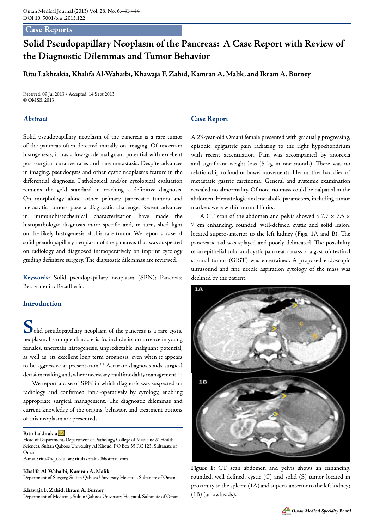## **Case Reports**

# **Solid Pseudopapillary Neoplasm of the Pancreas: A Case Report with Review of the Diagnostic Dilemmas and Tumor Behavior**

**Ritu Lakhtakia, Khalifa Al-Wahaibi, Khawaja F. Zahid, Kamran A. Malik, and Ikram A. Burney**

Received: 09 Jul 2013 / Accepted: 14 Sept 2013 © OMSB, 2013

# *Abstract*

Solid pseudopapillary neoplasm of the pancreas is a rare tumor of the pancreas often detected initially on imaging. Of uncertain histogenesis, it has a low-grade malignant potential with excellent post-surgical curative rates and rare metastasis. Despite advances in imaging, pseudocysts and other cystic neoplasms feature in the differential diagnosis. Pathological and/or cytological evaluation remains the gold standard in reaching a definitive diagnosis. On morphology alone, other primary pancreatic tumors and metastatic tumors pose a diagnostic challenge. Recent advances in immunohistochemical characterization have made the histopathologic diagnosis more specific and, in turn, shed light on the likely histogenesis of this rare tumor. We report a case of solid pseudopapillary neoplasm of the pancreas that was suspected on radiology and diagnosed intraoperatively on imprint cytology guiding definitive surgery. The diagnostic dilemmas are reviewed.

**Keywords:** Solid pseudopapillary neoplasm (SPN); Pancreas; Beta-catenin; E-cadherin.

## **Introduction**

**S**olid pseudopapillary neoplasm of the pancreas is a rare cystic neoplasm. Its unique characteristics include its occurrence in young females, uncertain histogenesis, unpredictable malignant potential, as well as its excellent long term prognosis, even when it appears to be aggressive at presentation.<sup>1,2</sup> Accurate diagnosis aids surgical decision making and, where necessary, multimodality management.<sup>3-5</sup>

We report a case of SPN in which diagnosis was suspected on radiology and confirmed intra-operatively by cytology, enabling appropriate surgical management. The diagnostic dilemmas and current knowledge of the origins, behavior, and treatment options of this neoplasm are presented.

#### **Ritu Lakhtakia**

Head of Department, Department of Pathology, College of Medicine & Health Sciences, Sultan Qaboos University, Al Khoud, PO Box 35 P.C 123, Sultanate of Oman.

**E-mail:** ritu@squ.edu.om; ritulakhtakia@hotmail.com

## **Khalifa Al-Wahaibi, Kamran A. Malik**

Department of Surgery, Sultan Qaboos University Hosiptal, Sultanate of Oman.

#### **Khawaja F. Zahid, Ikram A. Burney**

Department of Medicine, Sultan Qaboos University Hospital, Sultanate of Oman.

## **Case Report**

A 23-year-old Omani female presented with gradually progressing, episodic, epigastric pain radiating to the right hypochondrium with recent accentuation. Pain was accompanied by anorexia and significant weight loss (5 kg in one month). There was no relationship to food or bowel movements. Her mother had died of metastatic gastric carcinoma. General and systemic examination revealed no abnormality. Of note, no mass could be palpated in the abdomen. Hematologic and metabolic parameters, including tumor markers were within normal limits.

A CT scan of the abdomen and pelvis showed a 7.7  $\times$  7.5  $\times$ 7 cm enhancing, rounded, well-defined cystic and solid lesion, located supero-anterior to the left kidney (Figs. 1A and B). The pancreatic tail was splayed and poorly delineated. The possibility of an epithelial solid and cystic pancreatic mass or a gastrointestinal stromal tumor (GIST) was entertained. A proposed endoscopic ultrasound and fine needle aspiration cytology of the mass was declined by the patient.



**Figure 1:** CT scan abdomen and pelvis shows an enhancing, rounded, well defined, cystic (C) and solid (S) tumor located in proximity to the spleen; (1A) and supero-anterior to the left kidney; (1B) (arrowheads).

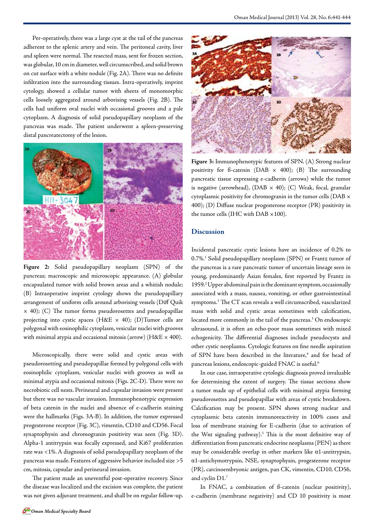Per-operatively, there was a large cyst at the tail of the pancreas adherent to the splenic artery and vein. The peritoneal cavity, liver and spleen were normal. The resected mass, sent for frozen section, was globular, 10 cm in diameter, well circumscribed, and solid brown on cut surface with a white nodule (Fig. 2A). There was no definite infiltration into the surrounding tissues. Intra-operatively, imprint cytology, showed a cellular tumor with sheets of monomorphic cells loosely aggregated around arborising vessels (Fig. 2B). The cells had uniform oval nuclei with occasional grooves and a pale cytoplasm. A diagnosis of solid pseudopapillary neoplasm of the pancreas was made. The patient underwent a spleen-preserving distal pancreatectomy of the lesion.



**Figure 2:** Solid pseudopapillary neoplasm (SPN) of the pancreas; macroscopic and microscopic appearance. (A) globular encapsulated tumor with solid brown areas and a whitish nodule; (B) Intraoperative imprint cytology shows the pseudopapillary arrangement of uniform cells around arborising vessels (Diff Quik × 40); (C) The tumor forms pseudorosettes and pseudopapillae projecting into cystic spaces (H&E  $\times$  40); (D)Tumor cells are polygonal with eosinophilic cytoplasm, vesicular nuclei with grooves with minimal atypia and occasional mitosis (arrow) ( $H\&E \times 400$ ).

Microscopically, there were solid and cystic areas with pseudorosetting and pseudopapillae formed by polygonal cells with eosinophilic cytoplasm, vesicular nuclei with grooves as well as minimal atypia and occasional mitosis (Figs. 2C-D). There were no necrobiotic cell nests. Perineural and capsular invasion were present but there was no vascular invasion. Immunophenotypic expression of beta catenin in the nuclei and absence of e-cadherin staining were the hallmarks (Figs. 3A-B). In addition, the tumor expressed progesterone receptor (Fig. 3C), vimentin, CD10 and CD56. Focal synaptophysin and chromogranin positivity was seen (Fig. 3D). Alpha-1 antitrypsin was focally expressed, and Ki67 proliferation rate was <1%. A diagnosis of solid pseudopapillary neoplasm of the pancreas was made. Features of aggressive behavior included size >5 cm, mitosis, capsular and perineural invasion.

The patient made an uneventful post-operative recovery. Since the disease was localized and the excision was complete, the patient was not given adjuvant treatment, and shall be on regular follow-up.



**Figure 3:** Immunophenotypic features of SPN. (A) Strong nuclear positivity for  $\beta$ -catenin (DAB  $\times$  400); (B) The surrounding pancreatic tissue expressing e-cadherin (arrows) while the tumor is negative (arrowhead), (DAB  $\times$  40); (C) Weak, focal, granular cytoplasmic positivity for chromogranin in the tumor cells (DAB × 400); (D) Diffuse nuclear progesterone receptor (PR) positivity in the tumor cells (IHC with DAB  $\times 100$ ).

## **Discussion**

Incidental pancreatic cystic lesions have an incidence of 0.2% to 0.7%.1 Solid pseudopapillary neoplasm (SPN) or Frantz tumor of the pancreas is a rare pancreatic tumor of uncertain lineage seen in young, predominantly Asian females, first reported by Frantz in 1959.2 Upper abdominal pain is the dominant symptom, occasionally associated with a mass, nausea, vomiting, or other gastrointestinal symptoms.3 The CT scan reveals a well circumscribed, vascularized mass with solid and cystic areas sometimes with calcification, located more commonly in the tail of the pancreas.<sup>3</sup> On endoscopic ultrasound, it is often an echo-poor mass sometimes with mixed echogenicity. The differential diagnoses include pseudocysts and other cystic neoplasms. Cytologic features on fine needle aspiration of SPN have been described in the literature,<sup>4</sup> and for head of pancreas lesions, endoscopic-guided FNAC is useful.6

In our case, intraoperative cytologic diagnosis proved invaluable for determining the extent of surgery. The tissue sections show a tumor made up of epithelial cells with minimal atypia forming pseudorosettes and pseudopapillae with areas of cystic breakdown. Calcification may be present. SPN shows strong nuclear and cytoplasmic beta catenin immunoreactivity in 100% cases and loss of membrane staining for E-cadherin (due to activation of the Wnt signaling pathway).<sup>5</sup> This is the most definitive way of differentiation from pancreatic endocrine neoplasms (PEN) as there may be considerable overlap in other markers like α1-antitrypsin, α1-antichymotrypsin, NSE, synaptophysin, progesterone receptor (PR), carcinoembryonic antigen, pan CK, vimentin, CD10, CD56, and cyclin D1.7

In FNAC, a combination of ß-catenin (nuclear positivity), e-cadherin (membrane negativity) and CD 10 positivity is most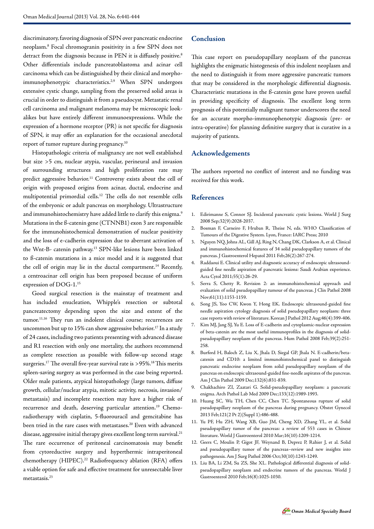discriminatory, favoring diagnosis of SPN over pancreatic endocrine neoplasm.8 Focal chromogranin positivity in a few SPN does not detract from the diagnosis because in PEN it is diffusely positive.<sup>8</sup> Other differentials include pancreatoblastoma and acinar cell carcinoma which can be distinguished by their clinical and morphoimmunophenotypic characteristics.<sup>2,9</sup> When SPN undergoes extensive cystic change, sampling from the preserved solid areas is crucial in order to distinguish it from a pseudocyst. Metastatic renal cell carcinoma and malignant melanoma may be microscopic lookalikes but have entirely different immunoexpressions. While the expression of a hormone receptor (PR) is not specific for diagnosis of SPN, it may offer an explanation for the occasional anecdotal report of tumor rupture during pregnancy.<sup>10</sup>

Histopathologic criteria of malignancy are not well established but size >5 cm, nuclear atypia, vascular, perineural and invasion of surrounding structures and high proliferation rate may predict aggressive behavior.<sup>11</sup> Controversy exists about the cell of origin with proposed origins from acinar, ductal, endocrine and multipotential primordial cells.12 The cells do not resemble cells of the embryonic or adult pancreas on morphology. Ultrastructure and immunohistochemistry have added little to clarify this enigma.<sup>9</sup> Mutations in the ß-catenin gene (CTNNB1) exon 3 are responsible for the immunohistochemical demonstration of nuclear positivity and the loss of e-cadherin expression due to aberrant activation of the Wnt-B- catenin pathway.13 SPN-like lesions have been linked to ß-catenin mutations in a mice model and it is suggested that the cell of origin may lie in the ductal compartment.<sup>14</sup> Recently, a centroacinar cell origin has been proposed because of uniform expression of DOG-1.15

Good surgical resection is the mainstay of treatment and has included enucleation, Whipple's resection or subtotal pancreatectomy depending upon the size and extent of the tumor.<sup>11,16</sup> They run an indolent clinical course; recurrences are uncommon but up to 15% can show aggressive behavior.<sup>17</sup> In a study of 24 cases, including two patients presenting with advanced disease and R1 resection with only one mortality, the authors recommend as complete resection as possible with follow-up second stage surgeries.<sup>17</sup> The overall five-year survival rate is >95%.<sup>18</sup> This merits spleen-saving surgery as was performed in the case being reported. Older male patients, atypical histopathology (large tumors, diffuse growth, cellular/nuclear atypia, mitotic activity, necrosis, invasion/ metastasis) and incomplete resection may have a higher risk of recurrence and death, deserving particular attention.<sup>19</sup> Chemoradiotherapy with cisplatin, 5-fluorouracil and gemcitabine has been tried in the rare cases with metastases.<sup>20</sup> Even with advanced disease, aggressive initial therapy gives excellent long term survival.<sup>21</sup> The rare occurrence of peritoneal carcinomatosis may benefit from cytoreductive surgery and hyperthermic intraperitoneal chemotherapy (HIPEC).<sup>22</sup> Radiofrequency ablation (RFA) offers a viable option for safe and effective treatment for unresectable liver metastasis.23

# **Conclusion**

This case report on pseudopapillary neoplasm of the pancreas highlights the enigmatic histogenesis of this indolent neoplasm and the need to distinguish it from more aggressive pancreatic tumors that may be considered in the morphologic differential diagnosis. Characteristic mutations in the ß-catenin gene have proven useful in providing specificity of diagnosis. The excellent long term prognosis of this potentially malignant tumor underscores the need for an accurate morpho-immunophenotypic diagnosis (pre- or intra-operative) for planning definitive surgery that is curative in a majority of patients.

## **Acknowledgements**

The authors reported no conflict of interest and no funding was received for this work.

## **References**

- 1. Edirimanne S, Connor SJ. Incidental pancreatic cystic lesions. World J Surg 2008 Sep;32(9):2028-2037.
- 2. Bosman F, Carneiro F, Hruban R, Theise N, eds. WHO Classification of Tumours of the Digestive System. Lyon, France: IARC Press; 2010
- 3. Nguyen NQ, Johns AL, Gill AJ, Ring N, Chang DK, Clarkson A, et al. Clinical and immunohistochemical features of 34 solid pseudopapillary tumors of the pancreas. J Gastroenterol Hepatol 2011 Feb;26(2):267-274.
- 4. Raddaoui E. Clinical utility and diagnostic accuracy of endoscopic ultrasoundguided fine needle aspiration of pancreatic lesions: Saudi Arabian experience. Acta Cytol 2011;55(1):26-29.
- 5. Serra S, Chetty R. Revision 2: an immunohistochemical approach and evaluation of solid pseudopapillary tumour of the pancreas. J Clin Pathol 2008 Nov;61(11):1153-1159.
- 6. Song JS, Yoo CW, Kwon Y, Hong EK. Endoscopic ultrasound-guided fine needle aspiration cytology diagnosis of solid pseudopapillary neoplasm: three case reports with review of literature. Korean J Pathol 2012 Aug;46(4):399-406.
- 7. Kim MJ, Jang SJ, Yu E. Loss of E-cadherin and cytoplasmic-nuclear expression of beta-catenin are the most useful immunoprofiles in the diagnosis of solidpseudopapillary neoplasm of the pancreas. Hum Pathol 2008 Feb;39(2):251- 258.
- 8. Burford H, Baloch Z, Liu X, Jhala D, Siegal GP, Jhala N. E-cadherin/betacatenin and CD10: a limited immunohistochemical panel to distinguish pancreatic endocrine neoplasm from solid pseudopapillary neoplasm of the pancreas on endoscopic ultrasound-guided fine-needle aspirates of the pancreas. Am J Clin Pathol 2009 Dec;132(6):831-839.
- 9. Chakhachiro ZI, Zaatari G. Solid-pseudopapillary neoplasm: a pancreatic enigma. Arch Pathol Lab Med 2009 Dec;133(12):1989-1993.
- 10. Huang SC, Wu TH, Chen CC, Chen TC. Spontaneous rupture of solid pseudopapillary neoplasm of the pancreas during pregnancy. Obstet Gynecol 2013 Feb;121(2 Pt 2)(Suppl 1):486-488.
- 11. Yu PF, Hu ZH, Wang XB, Guo JM, Cheng XD, Zhang YL, et al. Solid pseudopapillary tumor of the pancreas: a review of 553 cases in Chinese literature. World J Gastroenterol 2010 Mar;16(10):1209-1214.
- 12. Geers C, Moulin P, Gigot JF, Weynand B, Deprez P, Rahier J, et al. Solid and pseudopapillary tumor of the pancreas–review and new insights into pathogenesis. Am J Surg Pathol 2006 Oct;30(10):1243-1249.
- 13. Liu BA, Li ZM, Su ZS, She XL. Pathological differential diagnosis of solidpseudopapillary neoplasm and endocrine tumors of the pancreas. World J Gastroenterol 2010 Feb;16(8):1025-1030.